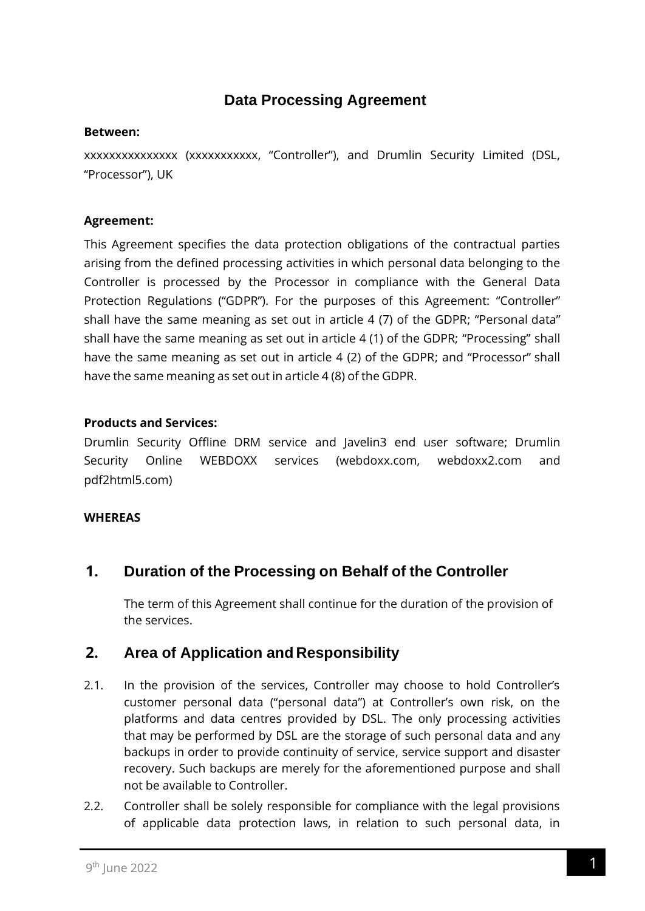# **Data Processing Agreement**

#### **Between:**

xxxxxxxxxxxxxxx (xxxxxxxxxxx, "Controller"), and Drumlin Security Limited (DSL, "Processor"), UK

### **Agreement:**

This Agreement specifies the data protection obligations of the contractual parties arising from the defined processing activities in which personal data belonging to the Controller is processed by the Processor in compliance with the General Data Protection Regulations ("GDPR"). For the purposes of this Agreement: "Controller" shall have the same meaning as set out in article 4 (7) of the GDPR; "Personal data" shall have the same meaning as set out in article 4 (1) of the GDPR; "Processing" shall have the same meaning as set out in article 4 (2) of the GDPR; and "Processor" shall have the same meaning as set out in article 4 (8) of the GDPR.

### **Products and Services:**

Drumlin Security Offline DRM service and Javelin3 end user software; Drumlin Security Online WEBDOXX services (webdoxx.com, webdoxx2.com and pdf2html5.com)

### **WHEREAS**

# **1. Duration of the Processing on Behalf of the Controller**

The term of this Agreement shall continue for the duration of the provision of the services.

# **2. Area of Application and Responsibility**

- 2.1. In the provision of the services, Controller may choose to hold Controller's customer personal data ("personal data") at Controller's own risk, on the platforms and data centres provided by DSL. The only processing activities that may be performed by DSL are the storage of such personal data and any backups in order to provide continuity of service, service support and disaster recovery. Such backups are merely for the aforementioned purpose and shall not be available to Controller.
- 2.2. Controller shall be solely responsible for compliance with the legal provisions of applicable data protection laws, in relation to such personal data, in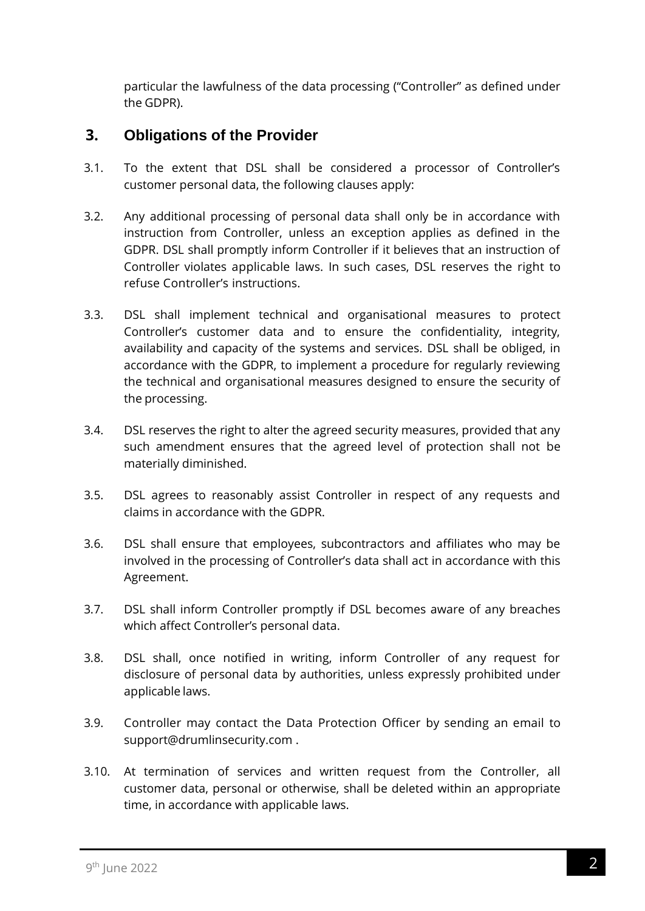particular the lawfulness of the data processing ("Controller" as defined under the GDPR).

## **3. Obligations of the Provider**

- 3.1. To the extent that DSL shall be considered a processor of Controller's customer personal data, the following clauses apply:
- 3.2. Any additional processing of personal data shall only be in accordance with instruction from Controller, unless an exception applies as defined in the GDPR. DSL shall promptly inform Controller if it believes that an instruction of Controller violates applicable laws. In such cases, DSL reserves the right to refuse Controller's instructions.
- 3.3. DSL shall implement technical and organisational measures to protect Controller's customer data and to ensure the confidentiality, integrity, availability and capacity of the systems and services. DSL shall be obliged, in accordance with the GDPR, to implement a procedure for regularly reviewing the technical and organisational measures designed to ensure the security of the processing.
- 3.4. DSL reserves the right to alter the agreed security measures, provided that any such amendment ensures that the agreed level of protection shall not be materially diminished.
- 3.5. DSL agrees to reasonably assist Controller in respect of any requests and claims in accordance with the GDPR.
- 3.6. DSL shall ensure that employees, subcontractors and affiliates who may be involved in the processing of Controller's data shall act in accordance with this Agreement.
- 3.7. DSL shall inform Controller promptly if DSL becomes aware of any breaches which affect Controller's personal data.
- 3.8. DSL shall, once notified in writing, inform Controller of any request for disclosure of personal data by authorities, unless expressly prohibited under applicable laws.
- 3.9. Controller may contact the Data Protection Officer by sending an email to support@drumlinsecurity.com .
- 3.10. At termination of services and written request from the Controller, all customer data, personal or otherwise, shall be deleted within an appropriate time, in accordance with applicable laws.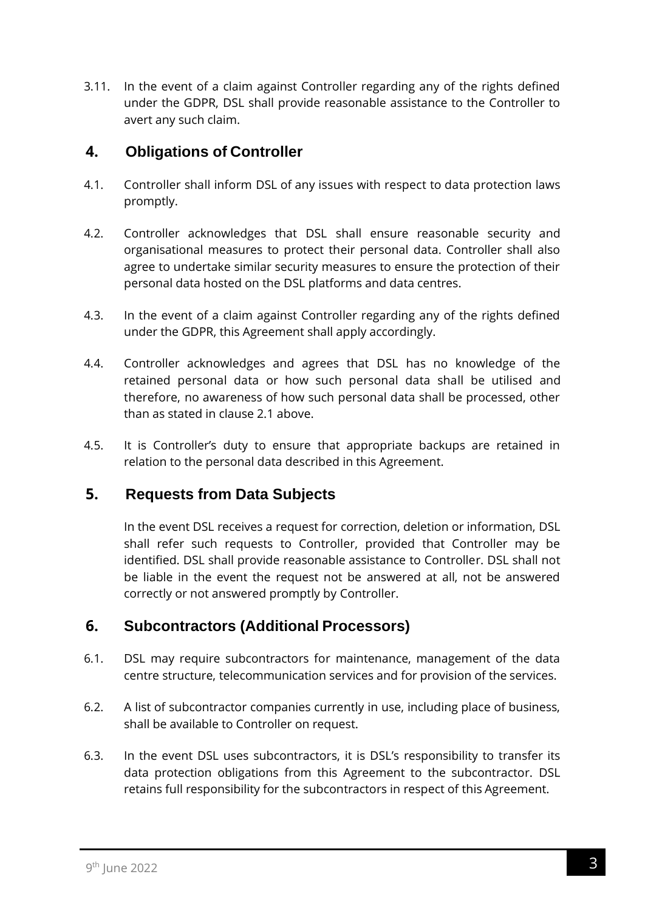3.11. In the event of a claim against Controller regarding any of the rights defined under the GDPR, DSL shall provide reasonable assistance to the Controller to avert any such claim.

# **4. Obligations of Controller**

- 4.1. Controller shall inform DSL of any issues with respect to data protection laws promptly.
- 4.2. Controller acknowledges that DSL shall ensure reasonable security and organisational measures to protect their personal data. Controller shall also agree to undertake similar security measures to ensure the protection of their personal data hosted on the DSL platforms and data centres.
- 4.3. In the event of a claim against Controller regarding any of the rights defined under the GDPR, this Agreement shall apply accordingly.
- 4.4. Controller acknowledges and agrees that DSL has no knowledge of the retained personal data or how such personal data shall be utilised and therefore, no awareness of how such personal data shall be processed, other than as stated in clause 2.1 above.
- 4.5. It is Controller's duty to ensure that appropriate backups are retained in relation to the personal data described in this Agreement.

# **5. Requests from Data Subjects**

In the event DSL receives a request for correction, deletion or information, DSL shall refer such requests to Controller, provided that Controller may be identified. DSL shall provide reasonable assistance to Controller. DSL shall not be liable in the event the request not be answered at all, not be answered correctly or not answered promptly by Controller.

# **6. Subcontractors (Additional Processors)**

- 6.1. DSL may require subcontractors for maintenance, management of the data centre structure, telecommunication services and for provision of the services.
- 6.2. A list of subcontractor companies currently in use, including place of business, shall be available to Controller on request.
- 6.3. In the event DSL uses subcontractors, it is DSL's responsibility to transfer its data protection obligations from this Agreement to the subcontractor. DSL retains full responsibility for the subcontractors in respect of this Agreement.